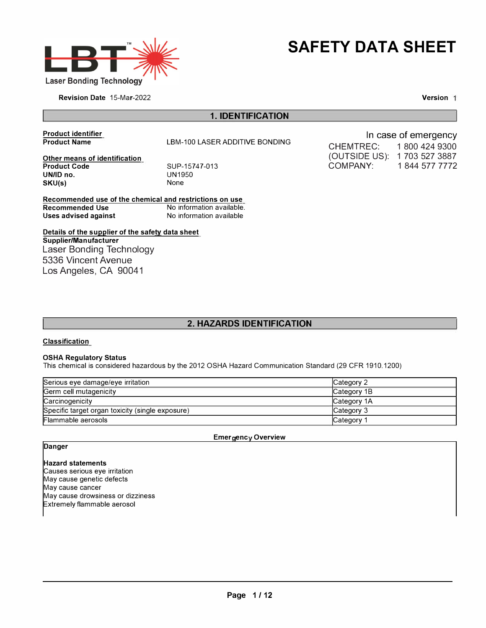



Revision Date 15-Mar-2022

Version 1

In case of emergency

COMPANY: 1 844 577 7772

CHEMTREC: 1 800 424 9300 (OUTSIDE US): 1 703 527 3887

# **1. IDENTIFICATION**

**Product identifier Product Name** 

LBM-100 LASER ADDITIVE BONDING

**Other means of identification Product Code UN/ID no. SKU(s)** 

SUP-15747-013 UN1950 None

**Recommended use of the chemical and restrictions on use Recommended Use 1988 Commended Use 1988 Recommended Use 1988 Recommended Use 1988 Recommended USE Recommended U**<br>No information available **Uses advised against** 

**Details of the supplier of the safety data sheet Supplier/Manufacturer**  Laser Bonding Technology 5336 Vincent Avenue Los Angeles, CA 90041

# **2. HAZARDS IDENTIFICATION**

### **Classification**

#### **OSHA Regulatory Status**

This chemical is considered hazardous by the 2012 OSHA Hazard Communication Standard (29 CFR 1910.1200)

| Serious eye damage/eye irritation                | Category 2          |
|--------------------------------------------------|---------------------|
| Germ cell mutagenicity                           | Category 1B         |
| Carcinogenicity                                  | <b>ICategory 1A</b> |
| Specific target organ toxicity (single exposure) | <b>Category 3</b>   |
| Flammable aerosols                               | Category            |

#### **Emergency Overview**

### **Danger**

**Hazard statements**  Causes serious eye irritation May cause genetic defects May cause cancer May cause drowsiness or dizziness Extremely flammable aerosol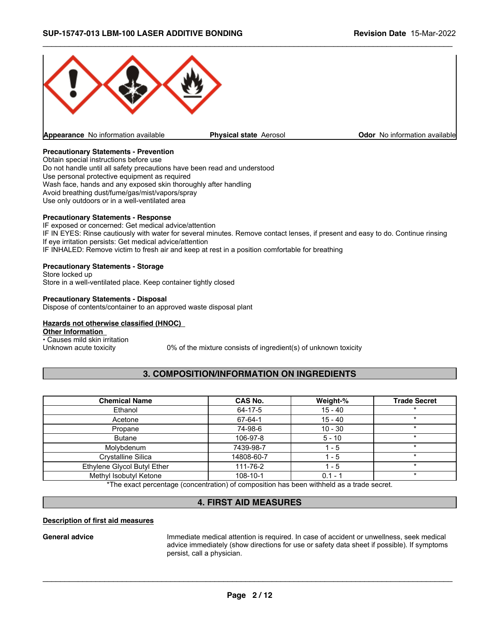

# **Precautionary Statements - Prevention**

Obtain special instructions before use Do not handle until all safety precautions have been read and understood Use personal protective equipment as required Wash face, hands and any exposed skin thoroughly after handling Avoid breathing dust/fume/gas/mist/vapors/spray Use only outdoors or in a well-ventilated area

### **Precautionary Statements - Response**

IF exposed or concerned: Get medical advice/attention IF IN EYES: Rinse cautiously with water for several minutes. Remove contact lenses, if present and easy to do. Continue rinsing If eye irritation persists: Get medical advice/attention IF INHALED: Remove victim to fresh air and keep at rest in a position comfortable for breathing

### **Precautionary Statements - Storage**

Store locked up Store in a well-ventilated place. Keep container tightly closed

#### **Precautionary Statements - Disposal**

Dispose of contents/container to an approved waste disposal plant

### **Hazards not otherwise classified (HNOC)**

**Other Information** 

• Causes mild skin irritation<br>Unknown acute toxicity

0% of the mixture consists of ingredient(s) of unknown toxicity

# **3. COMPOSITION/INFORMATION ON INGREDIENTS**

| <b>Chemical Name</b>        | CAS No.    | Weight-%  | <b>Trade Secret</b> |
|-----------------------------|------------|-----------|---------------------|
| Ethanol                     | 64-17-5    | $15 - 40$ |                     |
| Acetone                     | 67-64-1    | $15 - 40$ | $\star$             |
| Propane                     | 74-98-6    | $10 - 30$ | $\star$             |
| <b>Butane</b>               | 106-97-8   | $5 - 10$  | $\star$             |
| Molybdenum                  | 7439-98-7  | $1 - 5$   | $\star$             |
| Crystalline Silica          | 14808-60-7 | $1 - 5$   | $\star$             |
| Ethylene Glycol Butyl Ether | 111-76-2   | 1 - 5     | $\star$             |
| Methyl Isobutyl Ketone      | 108-10-1   | $0.1 - 1$ | $\star$             |

\*The exact percentage (concentration) of composition has been withheld as a trade secret.

# **4. FIRST AID MEASURES**

### **Description of first aid measures**

General advice **Immediate medical attention is required.** In case of accident or unwellness, seek medical advice immediately (show directions for use or safety data sheet if possible). If symptoms persist, call a physician.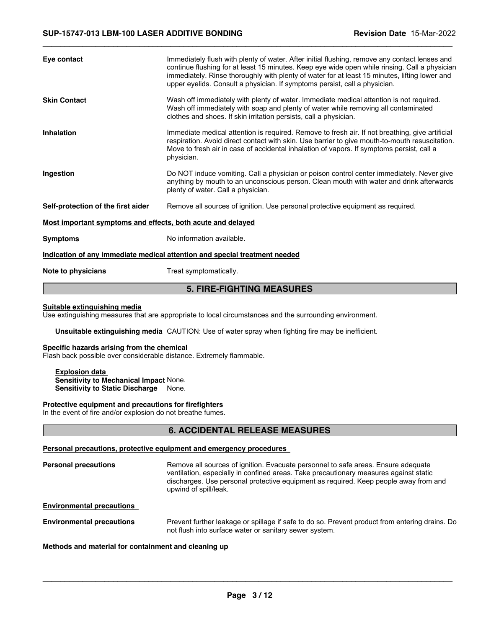| Eye contact                                                 | Immediately flush with plenty of water. After initial flushing, remove any contact lenses and<br>continue flushing for at least 15 minutes. Keep eye wide open while rinsing. Call a physician<br>immediately. Rinse thoroughly with plenty of water for at least 15 minutes, lifting lower and<br>upper eyelids. Consult a physician. If symptoms persist, call a physician. |
|-------------------------------------------------------------|-------------------------------------------------------------------------------------------------------------------------------------------------------------------------------------------------------------------------------------------------------------------------------------------------------------------------------------------------------------------------------|
| <b>Skin Contact</b>                                         | Wash off immediately with plenty of water. Immediate medical attention is not required.<br>Wash off immediately with soap and plenty of water while removing all contaminated<br>clothes and shoes. If skin irritation persists, call a physician.                                                                                                                            |
| <b>Inhalation</b>                                           | Immediate medical attention is required. Remove to fresh air. If not breathing, give artificial<br>respiration. Avoid direct contact with skin. Use barrier to give mouth-to-mouth resuscitation.<br>Move to fresh air in case of accidental inhalation of vapors. If symptoms persist, call a<br>physician.                                                                  |
| Ingestion                                                   | Do NOT induce vomiting. Call a physician or poison control center immediately. Never give<br>anything by mouth to an unconscious person. Clean mouth with water and drink afterwards<br>plenty of water. Call a physician.                                                                                                                                                    |
| Self-protection of the first aider                          | Remove all sources of ignition. Use personal protective equipment as required.                                                                                                                                                                                                                                                                                                |
| Most important symptoms and effects, both acute and delayed |                                                                                                                                                                                                                                                                                                                                                                               |
| <b>Symptoms</b>                                             | No information available.                                                                                                                                                                                                                                                                                                                                                     |
|                                                             | Indication of any immediate medical attention and special treatment needed                                                                                                                                                                                                                                                                                                    |
| Note to physicians                                          | Treat symptomatically.                                                                                                                                                                                                                                                                                                                                                        |

# **5. FIRE-FIGHTING MEASURES**

### **Suitable extinguishing media**

Use extinguishing measures that are appropriate to local circumstances and the surrounding environment.

**Unsuitable extinguishing media** CAUTION: Use of water spray when fighting fire may be inefficient.

### **Specific hazards arising from the chemical**

Flash back possible over considerable distance. Extremely flammable.

**Explosion data Sensitivity to Mechanical Impact** None. **Sensitivity to Static Discharge** None.

#### **Protective equipment and precautions for firefighters**

In the event of fire and/or explosion do not breathe fumes.

# **6. ACCIDENTAL RELEASE MEASURES**

### **Personal precautions, protective equipment and emergency procedures**

**Personal precautions** Remove all sources of ignition. Evacuate personnel to safe areas. Ensure adequate ventilation, especially in confined areas. Take precautionary measures against static discharges. Use personal protective equipment as required. Keep people away from and upwind of spill/leak.

**Environmental precautions** 

**Environmental precautions** Prevent further leakage or spillage if safe to do so. Prevent product from entering drains. Do not flush into surface water or sanitary sewer system.

**Methods and material for containment and cleaning up**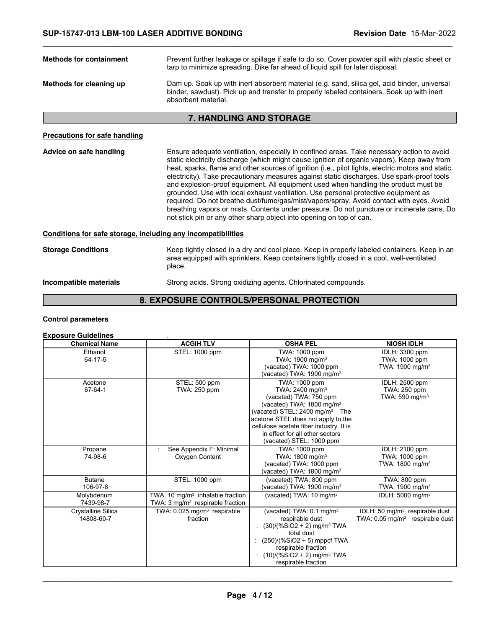| <b>Methods for containment</b>       | Prevent further leakage or spillage if safe to do so. Cover powder spill with plastic sheet or<br>tarp to minimize spreading. Dike far ahead of liquid spill for later disposal.                                                                                                                                                                                                                                                                                                  |  |  |
|--------------------------------------|-----------------------------------------------------------------------------------------------------------------------------------------------------------------------------------------------------------------------------------------------------------------------------------------------------------------------------------------------------------------------------------------------------------------------------------------------------------------------------------|--|--|
| Methods for cleaning up              | Dam up. Soak up with inert absorbent material (e.g. sand, silica gel, acid binder, universal<br>binder, sawdust). Pick up and transfer to properly labeled containers. Soak up with inert<br>absorbent material.                                                                                                                                                                                                                                                                  |  |  |
| <b>7. HANDLING AND STORAGE</b>       |                                                                                                                                                                                                                                                                                                                                                                                                                                                                                   |  |  |
| <b>Precautions for safe handling</b> |                                                                                                                                                                                                                                                                                                                                                                                                                                                                                   |  |  |
| Advice on safe handling              | Ensure adequate ventilation, especially in confined areas. Take necessary action to avoid<br>static electricity discharge (which might cause ignition of organic vapors). Keep away from<br>heat, sparks, flame and other sources of ignition (i.e., pilot lights, electric motors and static<br>electricity). Take precautionary measures against static discharges. Use spark-proof tools<br>and evaluation area coupment. All equipment used when bandling the product must be |  |  |

and explosion-proof equipment. All equipment used when handling the product must be grounded. Use with local exhaust ventilation. Use personal protective equipment as required. Do not breathe dust/fume/gas/mist/vapors/spray. Avoid contact with eyes. Avoid breathing vapors or mists. Contents under pressure. Do not puncture or incinerate cans. Do not stick pin or any other sharp object into opening on top of can.

# **Conditions for safe storage, including any incompatibilities**

**Storage Conditions** Keep tightly closed in a dry and cool place. Keep in properly labeled containers. Keep in an area equipped with sprinklers. Keep containers tightly closed in a cool, well-ventilated place.

**Incompatible materials Strong acids. Strong oxidizing agents. Chlorinated compounds.** 

# **8. EXPOSURE CONTROLS/PERSONAL PROTECTION**

# **Control parameters**

# **Exposure Guidelines** .

| <b>Chemical Name</b> | <b>ACGIH TLV</b>                             | <b>OSHA PEL</b>                            | <b>NIOSH IDLH</b>                             |
|----------------------|----------------------------------------------|--------------------------------------------|-----------------------------------------------|
| Ethanol              | STEL: 1000 ppm                               | TWA: 1000 ppm                              | IDLH: 3300 ppm                                |
| $64 - 17 - 5$        |                                              | TWA: 1900 mg/m <sup>3</sup>                | TWA: 1000 ppm                                 |
|                      |                                              | (vacated) TWA: 1000 ppm                    | TWA: 1900 mg/m <sup>3</sup>                   |
|                      |                                              | (vacated) TWA: 1900 mg/m <sup>3</sup>      |                                               |
| Acetone              | STEL: 500 ppm                                | TWA: 1000 ppm                              | IDLH: 2500 ppm                                |
| 67-64-1              | TWA: 250 ppm                                 | TWA: 2400 mg/m <sup>3</sup>                | TWA: 250 ppm                                  |
|                      |                                              | (vacated) TWA: 750 ppm                     | TWA: 590 mg/m <sup>3</sup>                    |
|                      |                                              | (vacated) TWA: 1800 mg/m <sup>3</sup>      |                                               |
|                      |                                              | (vacated) STEL: $2400 \text{ mg/m}^3$ The  |                                               |
|                      |                                              | acetone STEL does not apply to the         |                                               |
|                      |                                              | cellulose acetate fiber industry. It is    |                                               |
|                      |                                              | in effect for all other sectors            |                                               |
|                      |                                              | (vacated) STEL: 1000 ppm                   |                                               |
| Propane              | See Appendix F: Minimal                      | TWA: 1000 ppm                              | IDLH: 2100 ppm                                |
| 74-98-6              | Oxygen Content                               | TWA: 1800 mg/m <sup>3</sup>                | TWA: 1000 ppm                                 |
|                      |                                              | (vacated) TWA: 1000 ppm                    | TWA: 1800 mg/m <sup>3</sup>                   |
|                      |                                              | (vacated) TWA: $1800 \text{ mg/m}^3$       |                                               |
| <b>Butane</b>        | STEL: 1000 ppm                               | (vacated) TWA: 800 ppm                     | TWA: 800 ppm                                  |
| 106-97-8             |                                              | (vacated) TWA: 1900 mg/m <sup>3</sup>      | TWA: 1900 mg/m <sup>3</sup>                   |
| Molybdenum           | TWA: 10 mg/m <sup>3</sup> inhalable fraction | (vacated) TWA: 10 mg/m <sup>3</sup>        | IDLH: 5000 mg/m <sup>3</sup>                  |
| 7439-98-7            | TWA: $3 \text{ mg/m}^3$ respirable fraction  |                                            |                                               |
| Crystalline Silica   | TWA: 0.025 mg/m <sup>3</sup> respirable      | (vacated) TWA: 0.1 mg/m <sup>3</sup>       | IDLH: 50 mg/m <sup>3</sup> respirable dust    |
| 14808-60-7           | fraction                                     | respirable dust                            | TWA: $0.05$ mg/m <sup>3</sup> respirable dust |
|                      |                                              | $(30)/(%SiO2 + 2)$ mg/m <sup>3</sup> TWA   |                                               |
|                      |                                              | total dust                                 |                                               |
|                      |                                              | $(250)/(%SiO2 + 5)$ mppcf TWA              |                                               |
|                      |                                              | respirable fraction                        |                                               |
|                      |                                              | : $(10)/(%SiO2 + 2)$ mg/m <sup>3</sup> TWA |                                               |
|                      |                                              | respirable fraction                        |                                               |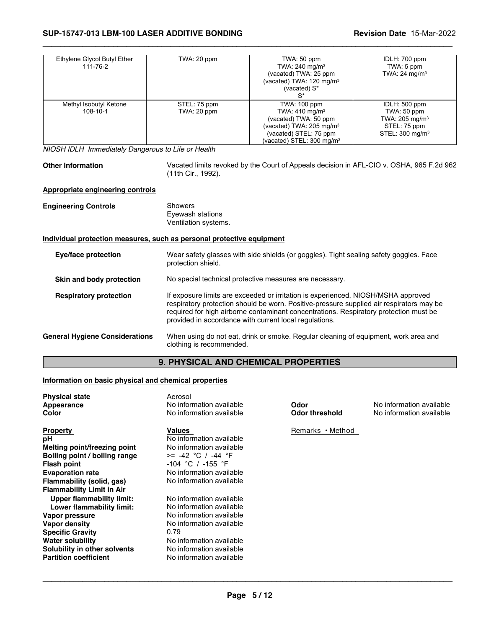| Ethylene Glycol Butyl Ether<br>111-76-2 | TWA: 20 ppm                 | TWA: 50 ppm<br>TWA: $240$ mg/m <sup>3</sup><br>(vacated) TWA: 25 ppm<br>(vacated) TWA: 120 mg/m <sup>3</sup><br>(vacated) S*<br>$S^*$                                       | IDLH: 700 ppm<br>TWA: 5 ppm<br>TWA: $24 \text{ mg/m}^3$                                                    |
|-----------------------------------------|-----------------------------|-----------------------------------------------------------------------------------------------------------------------------------------------------------------------------|------------------------------------------------------------------------------------------------------------|
| Methyl Isobutyl Ketone<br>108-10-1      | STEL: 75 ppm<br>TWA: 20 ppm | TWA: 100 ppm<br>TWA: $410 \text{ mg/m}^3$<br>(vacated) TWA: 50 ppm<br>(vacated) TWA: $205 \text{ mg/m}^3$<br>(vacated) STEL: 75 ppm<br>(vacated) STEL: $300 \text{ mg/m}^3$ | IDLH: 500 ppm<br>TWA: $50$ ppm<br>TWA: $205 \text{ mg/m}^3$<br>STEL: 75 ppm<br>STEL: 300 mg/m <sup>3</sup> |

*NIOSH IDLH Immediately Dangerous to Life or Health*

**Other Information** Vacated limits revoked by the Court of Appeals decision in AFL-CIO v. OSHA, 965 F.2d 962 (11th Cir., 1992).

### **Appropriate engineering controls**

| <b>Engineering Controls</b> | Showers<br>Eyewash stations |  |
|-----------------------------|-----------------------------|--|
|                             | Ventilation systems.        |  |

# **Individual protection measures, such as personal protective equipment**

| Eye/face protection                   | Wear safety glasses with side shields (or goggles). Tight sealing safety goggles. Face<br>protection shield.                                                                                                                                                                                                                     |
|---------------------------------------|----------------------------------------------------------------------------------------------------------------------------------------------------------------------------------------------------------------------------------------------------------------------------------------------------------------------------------|
| Skin and body protection              | No special technical protective measures are necessary.                                                                                                                                                                                                                                                                          |
| <b>Respiratory protection</b>         | If exposure limits are exceeded or irritation is experienced, NIOSH/MSHA approved<br>respiratory protection should be worn. Positive-pressure supplied air respirators may be<br>required for high airborne contaminant concentrations. Respiratory protection must be<br>provided in accordance with current local regulations. |
| <b>General Hygiene Considerations</b> | When using do not eat, drink or smoke. Regular cleaning of equipment, work area and<br>clothing is recommended.                                                                                                                                                                                                                  |

# **9. PHYSICAL AND CHEMICAL PROPERTIES**

# **Information on basic physical and chemical properties**

| <b>Physical state</b><br>Appearance<br>Color                                                                                                                                                                    | Aerosol<br>No information available<br>No information available                                                                                                                                          | Odor<br><b>Odor threshold</b> | No information available<br>No information available |
|-----------------------------------------------------------------------------------------------------------------------------------------------------------------------------------------------------------------|----------------------------------------------------------------------------------------------------------------------------------------------------------------------------------------------------------|-------------------------------|------------------------------------------------------|
| <b>Property</b><br>pН<br>Melting point/freezing point<br>Boiling point / boiling range<br>Flash point<br><b>Evaporation rate</b><br>Flammability (solid, gas)<br><b>Flammability Limit in Air</b>               | Values<br>No information available<br>No information available<br>$>= -42 °C / -44 °F$<br>$-104$ °C / $-155$ °F<br>No information available<br>No information available                                  | Remarks • Method              |                                                      |
| <b>Upper flammability limit:</b><br>Lower flammability limit:<br>Vapor pressure<br>Vapor density<br><b>Specific Gravity</b><br>Water solubility<br>Solubility in other solvents<br><b>Partition coefficient</b> | No information available<br>No information available<br>No information available<br>No information available<br>0.79<br>No information available<br>No information available<br>No information available |                               |                                                      |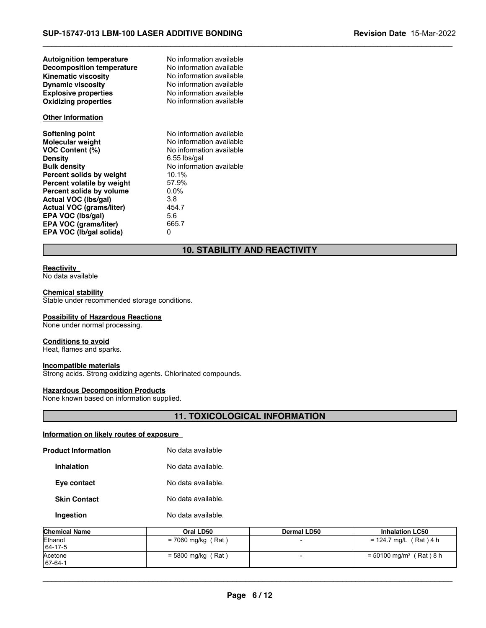| <b>Autoignition temperature</b>  | No information available |
|----------------------------------|--------------------------|
| <b>Decomposition temperature</b> | No information available |
| <b>Kinematic viscosity</b>       | No information available |
| <b>Dynamic viscosity</b>         | No information available |
| <b>Explosive properties</b>      | No information available |
| <b>Oxidizing properties</b>      | No information available |
| <b>Other Information</b>         |                          |
| Softening point                  | No information available |
| <b>Molecular weight</b>          | No information available |
| <b>VOC Content (%)</b>           | No information available |
| <b>Density</b>                   | 6.55 lbs/gal             |
| <b>Bulk density</b>              | No information available |
| Percent solids by weight         | 10.1%                    |
| Percent volatile by weight       | 57.9%                    |
| Percent solids by volume         | $0.0\%$                  |
| Actual VOC (Ibs/gal)             | 3.8                      |
| <b>Actual VOC (grams/liter)</b>  | 454.7                    |
| EPA VOC (Ibs/gal)                | 5.6                      |
| EPA VOC (grams/liter)            | 665.7                    |
| EPA VOC (Ib/gal solids)          | 0                        |

# **10. STABILITY AND REACTIVITY**

 $\_$  ,  $\_$  ,  $\_$  ,  $\_$  ,  $\_$  ,  $\_$  ,  $\_$  ,  $\_$  ,  $\_$  ,  $\_$  ,  $\_$  ,  $\_$  ,  $\_$  ,  $\_$  ,  $\_$  ,  $\_$  ,  $\_$  ,  $\_$  ,  $\_$  ,  $\_$  ,  $\_$  ,  $\_$  ,  $\_$  ,  $\_$  ,  $\_$  ,  $\_$  ,  $\_$  ,  $\_$  ,  $\_$  ,  $\_$  ,  $\_$  ,  $\_$  ,  $\_$  ,  $\_$  ,  $\_$  ,  $\_$  ,  $\_$  ,

### **Reactivity**

No data available

### **Chemical stability**

Stable under recommended storage conditions.

# **Possibility of Hazardous Reactions**

None under normal processing.

#### **Conditions to avoid**

Heat, flames and sparks.

# **Incompatible materials**

Strong acids. Strong oxidizing agents. Chlorinated compounds.

# **Hazardous Decomposition Products**

None known based on information supplied.

# **11. TOXICOLOGICAL INFORMATION**

# **Information on likely routes of exposure**

| Ingestion                  | No data available. |
|----------------------------|--------------------|
| <b>Skin Contact</b>        | No data available. |
| Eye contact                | No data available. |
| <b>Inhalation</b>          | No data available. |
| <b>Product Information</b> | No data available  |

| <b>Chemical Name</b>      | Oral LD50            | Dermal LD50 | <b>Inhalation LC50</b>                |
|---------------------------|----------------------|-------------|---------------------------------------|
| Ethanol<br>$164 - 17 - 5$ | = 7060 mg/kg (Rat)   |             | = 124.7 mg/L (Rat) 4 h                |
| Acetone<br>$167 - 64 - 1$ | $= 5800$ mg/kg (Rat) |             | $= 50100$ mg/m <sup>3</sup> (Rat) 8 h |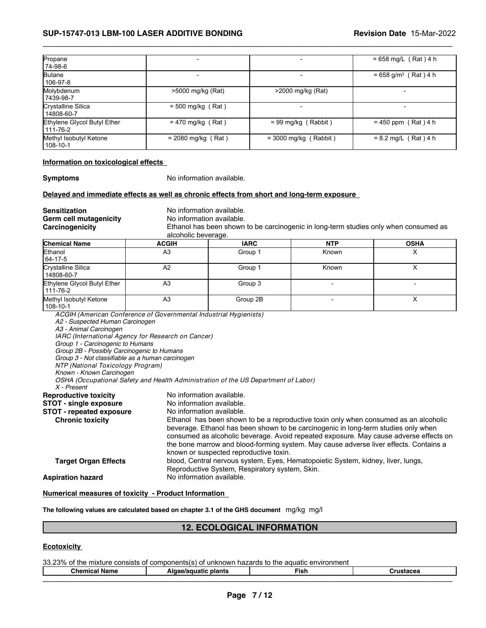# **SUP-15747-013 LBM-100 LASER ADDITIVE BONDING Revision Date** 15-Mar-2022

| Propane<br>74-98-6                      |                      |                         | $= 658$ mg/L (Rat) 4 h             |
|-----------------------------------------|----------------------|-------------------------|------------------------------------|
| <b>Butane</b><br>106-97-8               |                      |                         | $= 658$ g/m <sup>3</sup> (Rat) 4 h |
| Molybdenum<br>7439-98-7                 | >5000 mg/kg (Rat)    | >2000 mg/kg (Rat)       |                                    |
| Crystalline Silica<br>14808-60-7        | $= 500$ mg/kg (Rat)  |                         | $\overline{\phantom{a}}$           |
| Ethylene Glycol Butyl Ether<br>111-76-2 | $= 470$ mg/kg (Rat)  | $= 99$ mg/kg (Rabbit)   | $= 450$ ppm (Rat) 4 h              |
| Methyl Isobutyl Ketone<br>108-10-1      | $= 2080$ mg/kg (Rat) | $=$ 3000 mg/kg (Rabbit) | $= 8.2$ mg/L (Rat) 4 h             |

 $\_$  ,  $\_$  ,  $\_$  ,  $\_$  ,  $\_$  ,  $\_$  ,  $\_$  ,  $\_$  ,  $\_$  ,  $\_$  ,  $\_$  ,  $\_$  ,  $\_$  ,  $\_$  ,  $\_$  ,  $\_$  ,  $\_$  ,  $\_$  ,  $\_$  ,  $\_$  ,  $\_$  ,  $\_$  ,  $\_$  ,  $\_$  ,  $\_$  ,  $\_$  ,  $\_$  ,  $\_$  ,  $\_$  ,  $\_$  ,  $\_$  ,  $\_$  ,  $\_$  ,  $\_$  ,  $\_$  ,  $\_$  ,  $\_$  ,

#### **Information on toxicological effects**

**Symptoms** No information available.

#### **Delayed and immediate effects as well as chronic effects from short and long-term exposure**

**Sensitization**<br> **Germ cell mutagenicity** No information available. **Germ cell mutagenicity<br>Carcinogenicity** 

Ethanol has been shown to be carcinogenic in long-term studies only when consumed as alcoholic beverage.

| <b>Chemical Name</b>                    | <b>ACGIH</b> | <b>IARC</b> | <b>NTP</b> | <b>OSHA</b> |
|-----------------------------------------|--------------|-------------|------------|-------------|
| Ethanol<br>64-17-5                      | A3           | Group 1     | Known      | ↗           |
| Crystalline Silica<br>14808-60-7        | A2           | Group 1     | Known      |             |
| Ethylene Glycol Butyl Ether<br>111-76-2 | A3           | Group 3     |            |             |
| Methyl Isobutyl Ketone<br>108-10-1      | A3           | Group 2B    |            |             |

*ACGIH (American Conference of Governmental Industrial Hygienists) A2 - Suspected Human Carcinogen A3 - Animal Carcinogen IARC (International Agency for Research on Cancer) Group 1 - Carcinogenic to Humans Group 2B - Possibly Carcinogenic to Humans Group 3 - Not classifiable as a human carcinogen NTP (National Toxicology Program) Known - Known Carcinogen OSHA (Occupational Safety and Health Administration of the US Department of Labor) X - Present* **Reproductive toxicity <br><b>STOT** - single exposure Mo information available. **STOT - single exposure** No information available.<br>**STOT - repeated exposure** No information available. **STOT - repeated exposure<br>Chronic toxicity** Ethanol has been shown to be a reproductive toxin only when consumed as an alcoholic beverage. Ethanol has been shown to be carcinogenic in long-term studies only when consumed as alcoholic beverage. Avoid repeated exposure. May cause adverse effects on the bone marrow and blood-forming system. May cause adverse liver effects. Contains a known or suspected reproductive toxin. **Target Organ Effects** blood, Central nervous system, Eyes, Hematopoietic System, kidney, liver, lungs, Reproductive System, Respiratory system, Skin. **Aspiration hazard** No information available.

### **Numerical measures of toxicity - Product Information**

**The following values are calculated based on chapter 3.1 of the GHS document** mg/kg mg/l

# **12. ECOLOGICAL INFORMATION**

### **Ecotoxicity**

33.23% of the mixture consists of components(s) of unknown hazards to the aquatic environment

**Chemical Name Algae/aquatic plants Fish Crustacea**  $\mathcal{L}_\mathcal{L} = \mathcal{L}_\mathcal{L} = \mathcal{L}_\mathcal{L} = \mathcal{L}_\mathcal{L} = \mathcal{L}_\mathcal{L} = \mathcal{L}_\mathcal{L} = \mathcal{L}_\mathcal{L} = \mathcal{L}_\mathcal{L} = \mathcal{L}_\mathcal{L} = \mathcal{L}_\mathcal{L} = \mathcal{L}_\mathcal{L} = \mathcal{L}_\mathcal{L} = \mathcal{L}_\mathcal{L} = \mathcal{L}_\mathcal{L} = \mathcal{L}_\mathcal{L} = \mathcal{L}_\mathcal{L} = \mathcal{L}_\mathcal{L}$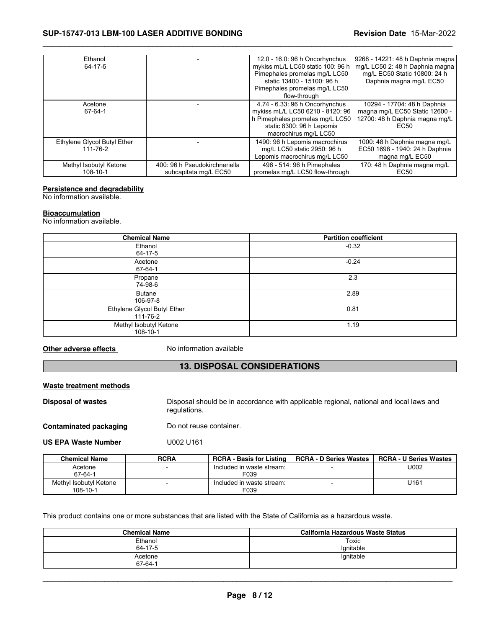# **SUP-15747-013 LBM-100 LASER ADDITIVE BONDING Revision Date** 15-Mar-2022

| Ethanol                     |                               | 12.0 - 16.0: 96 h Oncorhynchus    | 9268 - 14221: 48 h Daphnia magna |
|-----------------------------|-------------------------------|-----------------------------------|----------------------------------|
| 64-17-5                     |                               | mykiss mL/L LC50 static 100: 96 h | mq/L LC50 2: 48 h Daphnia magna  |
|                             |                               | Pimephales promelas mg/L LC50     | mg/L EC50 Static 10800: 24 h     |
|                             |                               | static 13400 - 15100: 96 h        | Daphnia magna mg/L EC50          |
|                             |                               | Pimephales promelas mg/L LC50     |                                  |
|                             |                               | flow-through                      |                                  |
| Acetone                     |                               | 4.74 - 6.33: 96 h Oncorhynchus    | 10294 - 17704: 48 h Daphnia      |
| 67-64-1                     |                               | mykiss mL/L LC50 6210 - 8120: 96  | magna mg/L EC50 Static 12600 -   |
|                             |                               | h Pimephales promelas mg/L LC50   | 12700: 48 h Daphnia magna mg/L   |
|                             |                               | static 8300: 96 h Lepomis         | EC <sub>50</sub>                 |
|                             |                               | macrochirus mg/L LC50             |                                  |
| Ethylene Glycol Butyl Ether |                               | 1490: 96 h Lepomis macrochirus    | 1000: 48 h Daphnia magna mg/L    |
| 111-76-2                    |                               | mg/L LC50 static 2950: 96 h       | EC50 1698 - 1940: 24 h Daphnia   |
|                             |                               | Lepomis macrochirus mg/L LC50     | magna mg/L EC50                  |
| Methyl Isobutyl Ketone      | 400: 96 h Pseudokirchneriella | 496 - 514: 96 h Pimephales        | 170: 48 h Daphnia magna mg/L     |
| 108-10-1                    | subcapitata mg/L EC50         | promelas mg/L LC50 flow-through   | EC <sub>50</sub>                 |

 $\_$  ,  $\_$  ,  $\_$  ,  $\_$  ,  $\_$  ,  $\_$  ,  $\_$  ,  $\_$  ,  $\_$  ,  $\_$  ,  $\_$  ,  $\_$  ,  $\_$  ,  $\_$  ,  $\_$  ,  $\_$  ,  $\_$  ,  $\_$  ,  $\_$  ,  $\_$  ,  $\_$  ,  $\_$  ,  $\_$  ,  $\_$  ,  $\_$  ,  $\_$  ,  $\_$  ,  $\_$  ,  $\_$  ,  $\_$  ,  $\_$  ,  $\_$  ,  $\_$  ,  $\_$  ,  $\_$  ,  $\_$  ,  $\_$  ,

### **Persistence and degradability**

No information available.

#### **Bioaccumulation**

No information available.

| <b>Chemical Name</b>                    | <b>Partition coefficient</b> |
|-----------------------------------------|------------------------------|
| Ethanol<br>64-17-5                      | $-0.32$                      |
| Acetone<br>67-64-1                      | $-0.24$                      |
| Propane<br>74-98-6                      | 2.3                          |
| <b>Butane</b><br>106-97-8               | 2.89                         |
| Ethylene Glycol Butyl Ether<br>111-76-2 | 0.81                         |
| Methyl Isobutyl Ketone<br>108-10-1      | 1.19                         |

**Other adverse effects** No information available

# **13. DISPOSAL CONSIDERATIONS**

### **Waste treatment methods**

**Disposal of wastes** Disposal should be in accordance with applicable regional, national and local laws and regulations.

**Contaminated packaging** Do not reuse container.

**US EPA Waste Number** U002 U161

| <b>Chemical Name</b>               | <b>RCRA</b>              | <b>RCRA - Basis for Listing</b>   | <b>RCRA - D Series Wastes</b> | <b>RCRA - U Series Wastes</b> |
|------------------------------------|--------------------------|-----------------------------------|-------------------------------|-------------------------------|
| Acetone<br>67-64-1                 | $\overline{\phantom{0}}$ | Included in waste stream:<br>F039 |                               | U002                          |
| Methyl Isobutyl Ketone<br>108-10-1 |                          | Included in waste stream:<br>F039 |                               | U <sub>161</sub>              |

This product contains one or more substances that are listed with the State of California as a hazardous waste.

| <b>Chemical Name</b> | California Hazardous Waste Status |
|----------------------|-----------------------------------|
| Ethanol              | Toxic                             |
| 64-17-5              | lgnitable                         |
| Acetone<br>67-64-1   | lgnitable                         |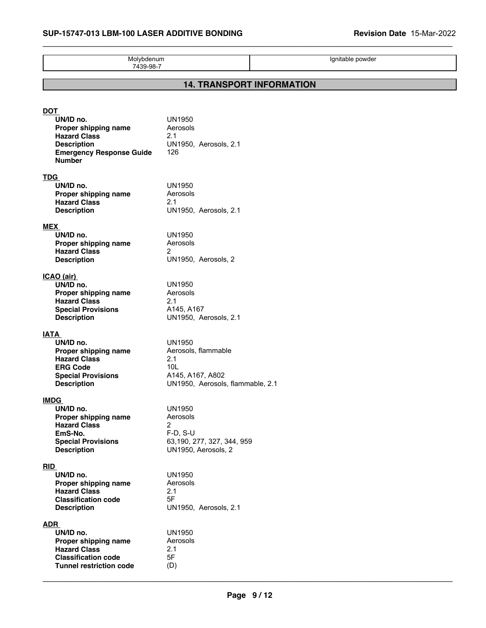\_\_\_\_\_\_\_\_\_\_\_\_\_\_\_\_\_\_\_\_\_\_\_\_\_\_\_\_\_\_\_\_\_\_\_\_\_\_\_\_\_\_\_\_\_\_\_\_\_\_\_\_\_\_\_\_\_\_\_\_\_\_\_\_\_\_\_\_\_\_\_\_\_\_\_\_\_\_\_\_\_\_\_\_\_\_\_\_\_\_\_\_\_

| Molybdenum<br>7439-98-7                                                                                                                          |                                                                                                                 |  | Ignitable powder |  |
|--------------------------------------------------------------------------------------------------------------------------------------------------|-----------------------------------------------------------------------------------------------------------------|--|------------------|--|
| <b>14. TRANSPORT INFORMATION</b>                                                                                                                 |                                                                                                                 |  |                  |  |
| <u>DOT</u><br>UN/ID no.<br>Proper shipping name<br><b>Hazard Class</b><br><b>Description</b><br><b>Emergency Response Guide</b><br><b>Number</b> | <b>UN1950</b><br>Aerosols<br>2.1<br>UN1950, Aerosols, 2.1<br>126                                                |  |                  |  |
| TDG<br>UN/ID no.<br>Proper shipping name<br><b>Hazard Class</b><br><b>Description</b>                                                            | <b>UN1950</b><br>Aerosols<br>2.1<br>UN1950, Aerosols, 2.1                                                       |  |                  |  |
| <b>MEX</b><br>UN/ID no.<br>Proper shipping name<br><b>Hazard Class</b><br><b>Description</b>                                                     | <b>UN1950</b><br>Aerosols<br>$\overline{2}$<br>UN1950, Aerosols, 2                                              |  |                  |  |
| ICAO (air)<br>UN/ID no.<br>Proper shipping name<br><b>Hazard Class</b><br><b>Special Provisions</b><br><b>Description</b>                        | <b>UN1950</b><br>Aerosols<br>2.1<br>A145, A167<br>UN1950, Aerosols, 2.1                                         |  |                  |  |
| <u>IATA</u><br>UN/ID no.<br>Proper shipping name<br><b>Hazard Class</b><br><b>ERG Code</b><br><b>Special Provisions</b><br><b>Description</b>    | <b>UN1950</b><br>Aerosols, flammable<br>2.1<br>10L<br>A145, A167, A802<br>UN1950, Aerosols, flammable, 2.1      |  |                  |  |
| <u>IMDG</u><br>UN/ID no.<br>Proper shipping name<br><b>Hazard Class</b><br>EmS-No.<br><b>Special Provisions</b><br><b>Description</b>            | <b>UN1950</b><br>Aerosols<br>$\overline{2}$<br>$F-D, S-U$<br>63, 190, 277, 327, 344, 959<br>UN1950, Aerosols, 2 |  |                  |  |
| <b>RID</b><br>UN/ID no.<br>Proper shipping name<br><b>Hazard Class</b><br><b>Classification code</b><br><b>Description</b>                       | <b>UN1950</b><br>Aerosols<br>2.1<br>5F<br>UN1950, Aerosols, 2.1                                                 |  |                  |  |
| <b>ADR</b><br>UN/ID no.<br>Proper shipping name<br><b>Hazard Class</b><br><b>Classification code</b><br><b>Tunnel restriction code</b>           | <b>UN1950</b><br>Aerosols<br>2.1<br>5F<br>(D)                                                                   |  |                  |  |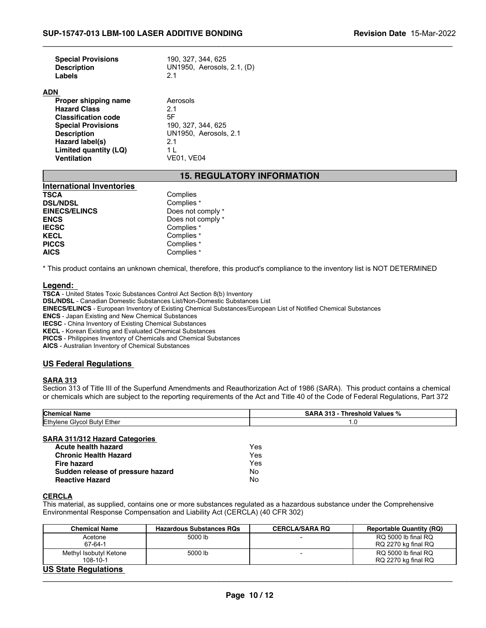| <b>Revision Date 15-Mar-2022</b> |  |
|----------------------------------|--|
|----------------------------------|--|

| <b>Special Provisions</b><br><b>Description</b><br>Labels | 190, 327, 344, 625<br>UN1950, Aerosols, 2.1, (D)<br>21 |
|-----------------------------------------------------------|--------------------------------------------------------|
| <b>ADN</b>                                                |                                                        |
| Proper shipping name                                      | Aerosols                                               |
| <b>Hazard Class</b>                                       | 2.1                                                    |
| <b>Classification code</b>                                | 5F                                                     |
| <b>Special Provisions</b>                                 | 190, 327, 344, 625                                     |
| <b>Description</b>                                        | UN1950. Aerosols, 2.1                                  |
| Hazard label(s)                                           | 2.1                                                    |
| Limited quantity (LQ)                                     | 1 I                                                    |
| <b>Ventilation</b>                                        | VE01. VE04                                             |
|                                                           |                                                        |

# **15. REGULATORY INFORMATION**

 $\_$  ,  $\_$  ,  $\_$  ,  $\_$  ,  $\_$  ,  $\_$  ,  $\_$  ,  $\_$  ,  $\_$  ,  $\_$  ,  $\_$  ,  $\_$  ,  $\_$  ,  $\_$  ,  $\_$  ,  $\_$  ,  $\_$  ,  $\_$  ,  $\_$  ,  $\_$  ,  $\_$  ,  $\_$  ,  $\_$  ,  $\_$  ,  $\_$  ,  $\_$  ,  $\_$  ,  $\_$  ,  $\_$  ,  $\_$  ,  $\_$  ,  $\_$  ,  $\_$  ,  $\_$  ,  $\_$  ,  $\_$  ,  $\_$  ,

| <b>International Inventories</b> |                   |
|----------------------------------|-------------------|
| <b>TSCA</b>                      | Complies          |
| <b>DSL/NDSL</b>                  | Complies *        |
| <b>EINECS/ELINCS</b>             | Does not comply * |
| <b>ENCS</b>                      | Does not comply * |
| <b>IECSC</b>                     | Complies *        |
| <b>KECL</b>                      | Complies *        |
| <b>PICCS</b>                     | Complies *        |
| <b>AICS</b>                      | Complies *        |

\* This product contains an unknown chemical, therefore, this product's compliance to the inventory list is NOT DETERMINED

#### **Legend:**

**TSCA** - United States Toxic Substances Control Act Section 8(b) Inventory **DSL/NDSL** - Canadian Domestic Substances List/Non-Domestic Substances List **EINECS/ELINCS** - European Inventory of Existing Chemical Substances/European List of Notified Chemical Substances **ENCS** - Japan Existing and New Chemical Substances **IECSC** - China Inventory of Existing Chemical Substances **KECL** - Korean Existing and Evaluated Chemical Substances **PICCS** - Philippines Inventory of Chemicals and Chemical Substances **AICS** - Australian Inventory of Chemical Substances

### **US Federal Regulations**

#### **SARA 313**

Section 313 of Title III of the Superfund Amendments and Reauthorization Act of 1986 (SARA). This product contains a chemical or chemicals which are subject to the reporting requirements of the Act and Title 40 of the Code of Federal Regulations, Part 372

| <b>Chemic</b>                      | ` Values % |
|------------------------------------|------------|
| vame                               | ıreshold   |
| Ethyler<br>Ether<br>Glvcc<br>Butvl | $\cdot$    |

#### **SARA 311/312 Hazard Categories**

| Acute health hazard               | Yes |
|-----------------------------------|-----|
| <b>Chronic Health Hazard</b>      | Yes |
| Fire hazard                       | Yes |
| Sudden release of pressure hazard | N٥  |
| <b>Reactive Hazard</b>            | N٥  |

#### **CERCLA**

This material, as supplied, contains one or more substances regulated as a hazardous substance under the Comprehensive Environmental Response Compensation and Liability Act (CERCLA) (40 CFR 302)

| <b>Chemical Name</b>        | <b>Hazardous Substances RQs</b> | <b>CERCLA/SARA RQ</b> | <b>Reportable Quantity (RQ)</b> |
|-----------------------------|---------------------------------|-----------------------|---------------------------------|
| Acetone                     | 5000 lb                         |                       | RQ 5000 lb final RQ             |
| 67-64-1                     |                                 |                       | RQ 2270 kg final RQ             |
| Methyl Isobutyl Ketone      | 5000 lb                         |                       | RQ 5000 lb final RQ             |
| $108 - 10 - 1$              |                                 |                       | RQ 2270 kg final RQ             |
| <b>HO OLALA DAMILLALARA</b> |                                 |                       |                                 |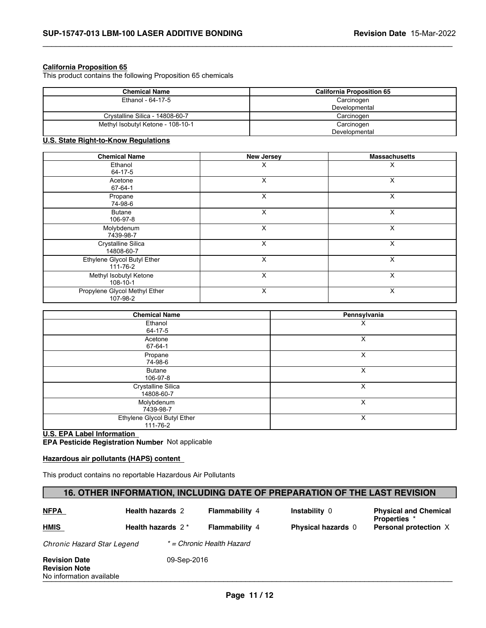### **California Proposition 65**

This product contains the following Proposition 65 chemicals

| <b>Chemical Name</b>              | <b>California Proposition 65</b> |  |  |
|-----------------------------------|----------------------------------|--|--|
| Ethanol - 64-17-5                 | Carcinogen                       |  |  |
|                                   | Developmental                    |  |  |
| Crystalline Silica - 14808-60-7   | Carcinogen                       |  |  |
| Methyl Isobutyl Ketone - 108-10-1 | Carcinogen                       |  |  |
|                                   | Developmental                    |  |  |

 $\_$  ,  $\_$  ,  $\_$  ,  $\_$  ,  $\_$  ,  $\_$  ,  $\_$  ,  $\_$  ,  $\_$  ,  $\_$  ,  $\_$  ,  $\_$  ,  $\_$  ,  $\_$  ,  $\_$  ,  $\_$  ,  $\_$  ,  $\_$  ,  $\_$  ,  $\_$  ,  $\_$  ,  $\_$  ,  $\_$  ,  $\_$  ,  $\_$  ,  $\_$  ,  $\_$  ,  $\_$  ,  $\_$  ,  $\_$  ,  $\_$  ,  $\_$  ,  $\_$  ,  $\_$  ,  $\_$  ,  $\_$  ,  $\_$  ,

# **U.S. State Right-to-Know Regulations**

| <b>Chemical Name</b>                      | <b>New Jersey</b> | <b>Massachusetts</b> |
|-------------------------------------------|-------------------|----------------------|
| Ethanol<br>64-17-5                        | х                 | х                    |
| Acetone<br>67-64-1                        | X                 | X                    |
| Propane<br>74-98-6                        | X                 | X                    |
| <b>Butane</b><br>106-97-8                 | X                 | X                    |
| Molybdenum<br>7439-98-7                   | X                 | X                    |
| Crystalline Silica<br>14808-60-7          | X                 | X                    |
| Ethylene Glycol Butyl Ether<br>111-76-2   | X                 | X                    |
| Methyl Isobutyl Ketone<br>108-10-1        | X                 | X                    |
| Propylene Glycol Methyl Ether<br>107-98-2 | X                 | X                    |

| <b>Chemical Name</b>                          | Pennsylvania |  |
|-----------------------------------------------|--------------|--|
| Ethanol<br>64-17-5                            | х            |  |
| Acetone<br>67-64-1                            | X            |  |
| Propane<br>74-98-6                            | X            |  |
| <b>Butane</b><br>106-97-8                     | X            |  |
| Crystalline Silica<br>14808-60-7              | X            |  |
| Molybdenum<br>7439-98-7                       | X            |  |
| Ethylene Glycol Butyl Ether<br>$111 - 76 - 2$ | X            |  |

**U.S. EPA Label Information EPA Pesticide Registration Number** Not applicable

### **Hazardous air pollutants (HAPS) content**

This product contains no reportable Hazardous Air Pollutants

# **16. OTHER INFORMATION, INCLUDING DATE OF PREPARATION OF THE LAST REVISION**

| <b>NFPA</b>                                                              | <b>Health hazards 2</b> |             | <b>Flammability 4</b>     | <b>Instability 0</b>      | <b>Physical and Chemical</b><br><b>Properties</b> * |  |
|--------------------------------------------------------------------------|-------------------------|-------------|---------------------------|---------------------------|-----------------------------------------------------|--|
| HMIS                                                                     | Health hazards $2^*$    |             | <b>Flammability 4</b>     | <b>Physical hazards 0</b> | Personal protection X                               |  |
| Chronic Hazard Star Legend                                               |                         |             | * = Chronic Health Hazard |                           |                                                     |  |
| <b>Revision Date</b><br><b>Revision Note</b><br>No information available |                         | 09-Sep-2016 |                           |                           |                                                     |  |